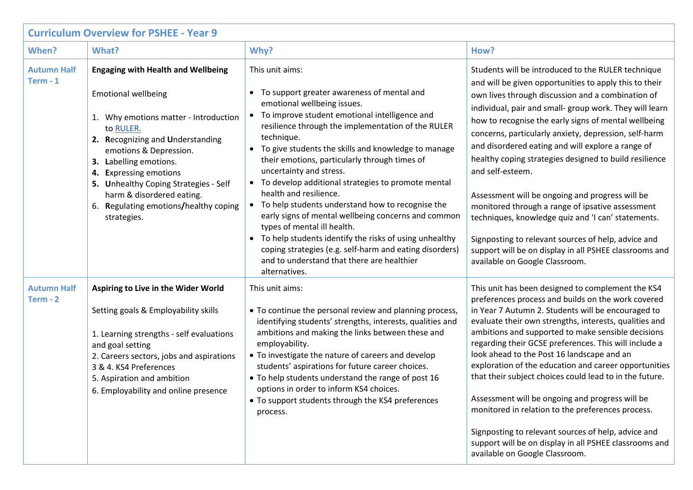| <b>Curriculum Overview for PSHEE - Year 9</b> |                                                                                                                                                                                                                                                                                                                                                                               |                                                                                                                                                                                                                                                                                                                                                                                                                                                                                                                                                                                                                                                                                                                                                                                |                                                                                                                                                                                                                                                                                                                                                                                                                                                                                                                                                                                                                                                                                                                                                                                                  |  |  |  |
|-----------------------------------------------|-------------------------------------------------------------------------------------------------------------------------------------------------------------------------------------------------------------------------------------------------------------------------------------------------------------------------------------------------------------------------------|--------------------------------------------------------------------------------------------------------------------------------------------------------------------------------------------------------------------------------------------------------------------------------------------------------------------------------------------------------------------------------------------------------------------------------------------------------------------------------------------------------------------------------------------------------------------------------------------------------------------------------------------------------------------------------------------------------------------------------------------------------------------------------|--------------------------------------------------------------------------------------------------------------------------------------------------------------------------------------------------------------------------------------------------------------------------------------------------------------------------------------------------------------------------------------------------------------------------------------------------------------------------------------------------------------------------------------------------------------------------------------------------------------------------------------------------------------------------------------------------------------------------------------------------------------------------------------------------|--|--|--|
| When?                                         | What?                                                                                                                                                                                                                                                                                                                                                                         | Why?                                                                                                                                                                                                                                                                                                                                                                                                                                                                                                                                                                                                                                                                                                                                                                           | How?                                                                                                                                                                                                                                                                                                                                                                                                                                                                                                                                                                                                                                                                                                                                                                                             |  |  |  |
| <b>Autumn Half</b><br>$Term - 1$              | <b>Engaging with Health and Wellbeing</b><br><b>Emotional wellbeing</b><br>1. Why emotions matter - Introduction<br>to RULER.<br>2. Recognizing and Understanding<br>emotions & Depression.<br>3. Labelling emotions.<br>4. Expressing emotions<br>5. Unhealthy Coping Strategies - Self<br>harm & disordered eating.<br>6. Regulating emotions/healthy coping<br>strategies. | This unit aims:<br>• To support greater awareness of mental and<br>emotional wellbeing issues.<br>• To improve student emotional intelligence and<br>resilience through the implementation of the RULER<br>technique.<br>• To give students the skills and knowledge to manage<br>their emotions, particularly through times of<br>uncertainty and stress.<br>• To develop additional strategies to promote mental<br>health and resilience.<br>• To help students understand how to recognise the<br>early signs of mental wellbeing concerns and common<br>types of mental ill health.<br>• To help students identify the risks of using unhealthy<br>coping strategies (e.g. self-harm and eating disorders)<br>and to understand that there are healthier<br>alternatives. | Students will be introduced to the RULER technique<br>and will be given opportunities to apply this to their<br>own lives through discussion and a combination of<br>individual, pair and small- group work. They will learn<br>how to recognise the early signs of mental wellbeing<br>concerns, particularly anxiety, depression, self-harm<br>and disordered eating and will explore a range of<br>healthy coping strategies designed to build resilience<br>and self-esteem.<br>Assessment will be ongoing and progress will be<br>monitored through a range of ipsative assessment<br>techniques, knowledge quiz and 'I can' statements.<br>Signposting to relevant sources of help, advice and<br>support will be on display in all PSHEE classrooms and<br>available on Google Classroom. |  |  |  |
| <b>Autumn Half</b><br>Term - 2                | Aspiring to Live in the Wider World<br>Setting goals & Employability skills<br>1. Learning strengths - self evaluations<br>and goal setting<br>2. Careers sectors, jobs and aspirations<br>3 & 4. KS4 Preferences<br>5. Aspiration and ambition<br>6. Employability and online presence                                                                                       | This unit aims:<br>• To continue the personal review and planning process,<br>identifying students' strengths, interests, qualities and<br>ambitions and making the links between these and<br>employability.<br>• To investigate the nature of careers and develop<br>students' aspirations for future career choices.<br>• To help students understand the range of post 16<br>options in order to inform KS4 choices.<br>• To support students through the KS4 preferences<br>process.                                                                                                                                                                                                                                                                                      | This unit has been designed to complement the KS4<br>preferences process and builds on the work covered<br>in Year 7 Autumn 2. Students will be encouraged to<br>evaluate their own strengths, interests, qualities and<br>ambitions and supported to make sensible decisions<br>regarding their GCSE preferences. This will include a<br>look ahead to the Post 16 landscape and an<br>exploration of the education and career opportunities<br>that their subject choices could lead to in the future.<br>Assessment will be ongoing and progress will be<br>monitored in relation to the preferences process.<br>Signposting to relevant sources of help, advice and<br>support will be on display in all PSHEE classrooms and<br>available on Google Classroom.                              |  |  |  |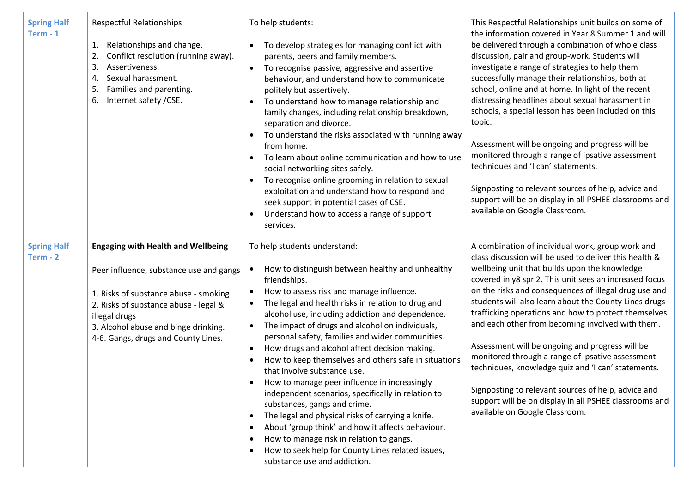| <b>Spring Half</b><br>$Term - 1$ | <b>Respectful Relationships</b><br>Relationships and change.<br>1.<br>Conflict resolution (running away).<br>2.<br>3.<br>Assertiveness.<br>Sexual harassment.<br>4.<br>Families and parenting.<br>5.<br>Internet safety / CSE.<br>6.                                   | To help students:<br>To develop strategies for managing conflict with<br>parents, peers and family members.<br>To recognise passive, aggressive and assertive<br>$\bullet$<br>behaviour, and understand how to communicate<br>politely but assertively.<br>To understand how to manage relationship and<br>$\bullet$<br>family changes, including relationship breakdown,<br>separation and divorce.<br>To understand the risks associated with running away<br>from home.<br>To learn about online communication and how to use<br>social networking sites safely.<br>To recognise online grooming in relation to sexual<br>$\bullet$<br>exploitation and understand how to respond and<br>seek support in potential cases of CSE.<br>Understand how to access a range of support<br>services.                                                                                                                                                                                   | This Respectful Relationships unit builds on some of<br>the information covered in Year 8 Summer 1 and will<br>be delivered through a combination of whole class<br>discussion, pair and group-work. Students will<br>investigate a range of strategies to help them<br>successfully manage their relationships, both at<br>school, online and at home. In light of the recent<br>distressing headlines about sexual harassment in<br>schools, a special lesson has been included on this<br>topic.<br>Assessment will be ongoing and progress will be<br>monitored through a range of ipsative assessment<br>techniques and 'I can' statements.<br>Signposting to relevant sources of help, advice and<br>support will be on display in all PSHEE classrooms and<br>available on Google Classroom. |
|----------------------------------|------------------------------------------------------------------------------------------------------------------------------------------------------------------------------------------------------------------------------------------------------------------------|-----------------------------------------------------------------------------------------------------------------------------------------------------------------------------------------------------------------------------------------------------------------------------------------------------------------------------------------------------------------------------------------------------------------------------------------------------------------------------------------------------------------------------------------------------------------------------------------------------------------------------------------------------------------------------------------------------------------------------------------------------------------------------------------------------------------------------------------------------------------------------------------------------------------------------------------------------------------------------------|-----------------------------------------------------------------------------------------------------------------------------------------------------------------------------------------------------------------------------------------------------------------------------------------------------------------------------------------------------------------------------------------------------------------------------------------------------------------------------------------------------------------------------------------------------------------------------------------------------------------------------------------------------------------------------------------------------------------------------------------------------------------------------------------------------|
| <b>Spring Half</b><br>Term - 2   | <b>Engaging with Health and Wellbeing</b><br>Peer influence, substance use and gangs<br>1. Risks of substance abuse - smoking<br>2. Risks of substance abuse - legal &<br>illegal drugs<br>3. Alcohol abuse and binge drinking.<br>4-6. Gangs, drugs and County Lines. | To help students understand:<br>How to distinguish between healthy and unhealthy<br>$\bullet$<br>friendships.<br>How to assess risk and manage influence.<br>$\bullet$<br>The legal and health risks in relation to drug and<br>$\bullet$<br>alcohol use, including addiction and dependence.<br>The impact of drugs and alcohol on individuals,<br>$\bullet$<br>personal safety, families and wider communities.<br>How drugs and alcohol affect decision making.<br>$\bullet$<br>How to keep themselves and others safe in situations<br>that involve substance use.<br>How to manage peer influence in increasingly<br>independent scenarios, specifically in relation to<br>substances, gangs and crime.<br>The legal and physical risks of carrying a knife.<br>$\bullet$<br>About 'group think' and how it affects behaviour.<br>How to manage risk in relation to gangs.<br>How to seek help for County Lines related issues,<br>$\bullet$<br>substance use and addiction. | A combination of individual work, group work and<br>class discussion will be used to deliver this health &<br>wellbeing unit that builds upon the knowledge<br>covered in y8 spr 2. This unit sees an increased focus<br>on the risks and consequences of illegal drug use and<br>students will also learn about the County Lines drugs<br>trafficking operations and how to protect themselves<br>and each other from becoming involved with them.<br>Assessment will be ongoing and progress will be<br>monitored through a range of ipsative assessment<br>techniques, knowledge quiz and 'I can' statements.<br>Signposting to relevant sources of help, advice and<br>support will be on display in all PSHEE classrooms and<br>available on Google Classroom.                                 |